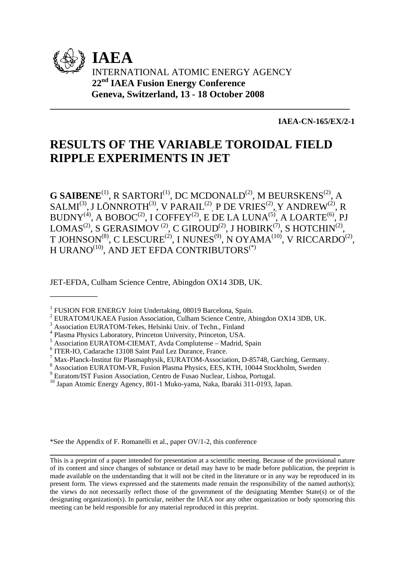

**IAEA-CN-165/EX/2-1** 

# **RESULTS OF THE VARIABLE TOROIDAL FIELD RIPPLE EXPERIMENTS IN JET**

**\_\_\_\_\_\_\_\_\_\_\_\_\_\_\_\_\_\_\_\_\_\_\_\_\_\_\_\_\_\_\_\_\_\_\_\_\_\_\_\_\_\_\_\_\_\_\_\_\_\_\_\_\_\_\_\_\_\_\_\_\_\_\_** 

**G SAIBENE**<sup>(1)</sup>, R SARTORI<sup>(1)</sup>, DC MCDONALD<sup>(2)</sup>, M BEURSKENS<sup>(2)</sup>, A  $\text{SALMI}^{(3)}, \text{J LÖNNROTH}^{(3)}, \text{V PARAIL}^{(2)}, \text{P DE VRIES}^{(2)}, \text{Y ANDREW}^{(2)}, \text{R}$  $\mathrm{BUDNY}^{(4)}, \mathrm{A}\ \mathrm{BOBOC}^{(2)}, \mathrm{I}\ \mathrm{COFFEY}^{(2)}, \mathrm{E}\ \mathrm{DE}\ \mathrm{LA}\ \mathrm{LUNA}^{(5)}, \mathrm{A}\ \mathrm{LOARTE}^{(6)}, \mathrm{PI}$  $\mathsf{LOMAS}^{(2)}, \, \mathsf{S} \, \mathsf{GERASIMOV}^{(2)}, \, \mathsf{C} \, \mathsf{GIROUD}^{(2)}, \, \mathsf{J} \, \mathsf{HOBIRK}^{(7)}, \, \mathsf{S} \, \mathsf{HOTCHIN}^{(2)},$ T JOHNSON $^{(8)}$ , C LESCURE $^{(2)}$ , I NUNES $^{(9)}$ , N OYAMA $^{(10)}$ , V RICCARDO $^{(2)}$ , H URANO $^{(10)}$ , AND JET EFDA CONTRIBUTORS $^{(*)}$ 

JET-EFDA, Culham Science Centre, Abingdon OX14 3DB, UK.

\_\_\_\_\_\_\_\_\_\_

\*See the Appendix of F. Romanelli et al., paper OV/1-2, this conference

**\_\_\_\_\_\_\_\_\_\_\_\_\_\_\_\_\_\_\_\_\_\_\_\_\_\_\_\_\_\_\_\_\_\_\_\_\_\_\_\_\_\_\_\_\_\_\_\_\_\_\_\_\_\_\_\_\_\_\_\_\_** 

<sup>&</sup>lt;sup>1</sup> FUSION FOR ENERGY Joint Undertaking, 08019 Barcelona, Spain.

<sup>2</sup> EURATOM/UKAEA Fusion Association, Culham Science Centre, Abingdon OX14 3DB, UK.

<sup>3</sup> Association EURATOM-Tekes, Helsinki Univ. of Techn., Finland

<sup>4</sup> Plasma Physics Laboratory, Princeton University, Princeton, USA.

<sup>&</sup>lt;sup>5</sup> Association EURATOM-CIEMAT, Avda Complutense – Madrid, Spain

<sup>6</sup> ITER-IO, Cadarache 13108 Saint Paul Lez Durance, France.

<sup>7</sup> Max-Planck-Institut für Plasmaphysik, EURATOM-Association, D-85748, Garching, Germany.

<sup>8</sup> Association EURATOM-VR, Fusion Plasma Physics, EES, KTH, 10044 Stockholm, Sweden

<sup>9</sup> Euratom/IST Fusion Association, Centro de Fusao Nuclear, Lisboa, Portugal.

<sup>&</sup>lt;sup>10</sup> Japan Atomic Energy Agency, 801-1 Muko-yama, Naka, Ibaraki 311-0193, Japan.

This is a preprint of a paper intended for presentation at a scientific meeting. Because of the provisional nature of its content and since changes of substance or detail may have to be made before publication, the preprint is made available on the understanding that it will not be cited in the literature or in any way be reproduced in its present form. The views expressed and the statements made remain the responsibility of the named author(s); the views do not necessarily reflect those of the government of the designating Member State(s) or of the designating organization(s). In particular, neither the IAEA nor any other organization or body sponsoring this meeting can be held responsible for any material reproduced in this preprint.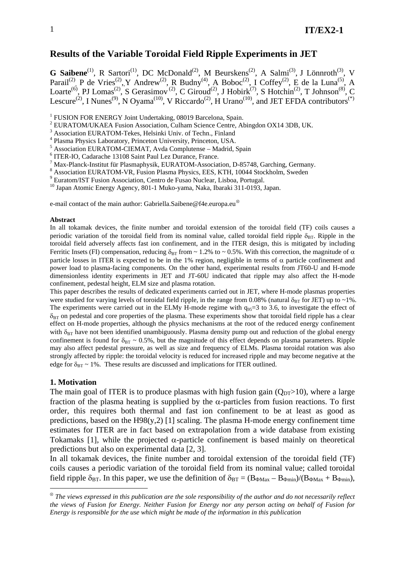# **Results of the Variable Toroidal Field Ripple Experiments in JET**

**G Saibene**<sup>(1)</sup>, R Sartori<sup>(1)</sup>, DC McDonald<sup>(2)</sup>, M Beurskens<sup>(2)</sup>, A Salmi<sup>(3)</sup>, J Lönnroth<sup>(3)</sup>, V Parail<sup>(2)</sup>, P de Vries<sup>(2)</sup>, Y Andrew<sup>(2)</sup>, R Budny<sup>(4)</sup>, A Boboc<sup>(2)</sup>, I Coffey<sup>(2)</sup>, E de la Luna<sup>(5)</sup>, A Loarte<sup>(6)</sup>, PJ Lomas<sup>(2)</sup>, S Gerasimov<sup>(2)</sup>, C Giroud<sup>(2)</sup>, J Hobirk<sup>(7)</sup>, S Hotchin<sup>(2)</sup>, T Johnson<sup>(8)</sup>, C Lescure<sup>(2)</sup>, I Nunes<sup>(9)</sup>, N Oyama<sup>(10)</sup>, V Riccardo<sup>(2)</sup>, H Urano<sup>(10)</sup>, and JET EFDA contributors<sup>(\*)</sup>

e-mail contact of the main author: Gabriella.Saibene@f4e.europa.eu<sup>[⊗](#page-1-0)</sup>

#### **Abstract**

In all tokamak devices, the finite number and toroidal extension of the toroidal field (TF) coils causes a periodic variation of the toroidal field from its nominal value, called toroidal field ripple  $\delta_{BT}$ . Ripple in the toroidal field adversely affects fast ion confinement, and in the ITER design, this is mitigated by including Ferritic Insets (FI) compensation, reducing  $\delta_{BT}$  from ~ 1.2% to ~ 0.5%. With this correction, the magnitude of  $\alpha$ particle losses in ITER is expected to be in the 1% region, negligible in terms of  $\alpha$  particle confinement and power load to plasma-facing components. On the other hand, experimental results from JT60-U and H-mode dimensionless identity experiments in JET and JT-60U indicated that ripple may also affect the H-mode confinement, pedestal height, ELM size and plasma rotation.

This paper describes the results of dedicated experiments carried out in JET, where H-mode plasmas properties were studied for varying levels of toroidal field ripple, in the range from 0.08% (natural  $\delta_{BT}$  for JET) up to ~1%. The experiments were carried out in the ELMy H-mode regime with  $q_{95}=3$  to 3.6, to investigate the effect of  $\delta_{BT}$  on pedestal and core properties of the plasma. These experiments show that toroidal field ripple has a clear effect on H-mode properties, although the physics mechanisms at the root of the reduced energy confinement with  $\delta_{BT}$  have not been identified unambiguously. Plasma density pump out and reduction of the global energy confinement is found for  $\delta_{BT} \sim 0.5\%$ , but the magnitude of this effect depends on plasma parameters. Ripple may also affect pedestal pressure, as well as size and frequency of ELMs. Plasma toroidal rotation was also strongly affected by ripple: the toroidal velocity is reduced for increased ripple and may become negative at the edge for  $\delta_{BT} \sim 1\%$ . These results are discussed and implications for ITER outlined.

### **1. Motivation**

1

The main goal of ITER is to produce plasmas with high fusion gain  $(O_{DT}>10)$ , where a large fraction of the plasma heating is supplied by the  $\alpha$ -particles from fusion reactions. To first order, this requires both thermal and fast ion confinement to be at least as good as predictions, based on the  $H98(y,2)$  [1] scaling. The plasma H-mode energy confinement time estimates for ITER are in fact based on extrapolation from a wide database from existing Tokamaks [1], while the projected  $\alpha$ -particle confinement is based mainly on theoretical predictions but also on experimental data [2, 3].

In all tokamak devices, the finite number and toroidal extension of the toroidal field (TF) coils causes a periodic variation of the toroidal field from its nominal value; called toroidal field ripple  $\delta_{BT}$ . In this paper, we use the definition of  $\delta_{BT} = (B_{\Phi Max} - B_{\Phi min})/(B_{\Phi Max} + B_{\Phi min})$ ,

<sup>&</sup>lt;sup>1</sup> FUSION FOR ENERGY Joint Undertaking, 08019 Barcelona, Spain.

<sup>&</sup>lt;sup>2</sup> EURATOM/UKAEA Fusion Association, Culham Science Centre, Abingdon OX14 3DB, UK.

<sup>&</sup>lt;sup>3</sup> Association EURATOM-Tekes, Helsinki Univ. of Techn., Finland

<sup>&</sup>lt;sup>4</sup> Plasma Physics Laboratory, Princeton University, Princeton, USA.<br><sup>5</sup> Association FUP ATOM CIEMAT, Arde Complutance, Medial 6

<sup>&</sup>lt;sup>5</sup> Association EURATOM-CIEMAT, Avda Complutense – Madrid, Spain

 $^6$  ITER-IO, Cadarache 13108 Saint Paul Lez Durance, France.

 $^7$  Max-Planck-Institut für Plasmaphysik, EURATOM-Association, D-85748, Garching, Germany.

<sup>8</sup> Association EURATOM-VR, Fusion Plasma Physics, EES, KTH, 10044 Stockholm, Sweden

<sup>9</sup> Euratom/IST Fusion Association, Centro de Fusao Nuclear, Lisboa, Portugal.

<sup>&</sup>lt;sup>10</sup> Japan Atomic Energy Agency, 801-1 Muko-yama, Naka, Ibaraki 311-0193, Japan.

<span id="page-1-0"></span><sup>⊗</sup> *The views expressed in this publication are the sole responsibility of the author and do not necessarily reflect the views of Fusion for Energy. Neither Fusion for Energy nor any person acting on behalf of Fusion for Energy is responsible for the use which might be made of the information in this publication*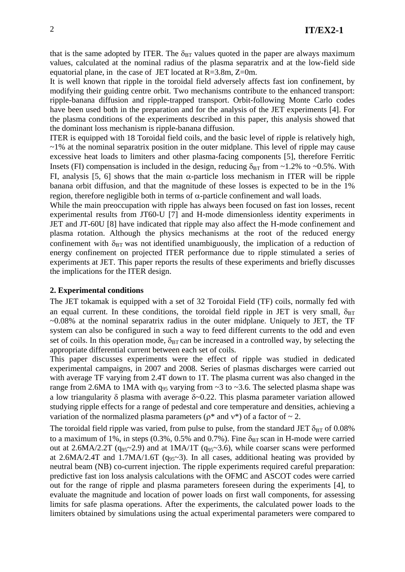that is the same adopted by ITER. The  $\delta_{BT}$  values quoted in the paper are always maximum values, calculated at the nominal radius of the plasma separatrix and at the low-field side equatorial plane, in the case of JET located at  $R=3.8$ m,  $Z=0$ m.

It is well known that ripple in the toroidal field adversely affects fast ion confinement, by modifying their guiding centre orbit. Two mechanisms contribute to the enhanced transport: ripple-banana diffusion and ripple-trapped transport. Orbit-following Monte Carlo codes have been used both in the preparation and for the analysis of the JET experiments [4]. For the plasma conditions of the experiments described in this paper, this analysis showed that the dominant loss mechanism is ripple-banana diffusion.

ITER is equipped with 18 Toroidal field coils, and the basic level of ripple is relatively high,  $\sim$ 1% at the nominal separatrix position in the outer midplane. This level of ripple may cause excessive heat loads to limiters and other plasma-facing components [5], therefore Ferritic Insets (FI) compensation is included in the design, reducing  $\delta_{\text{BT}}$  from ~1.2% to ~0.5%. With FI, analysis [5, 6] shows that the main  $\alpha$ -particle loss mechanism in ITER will be ripple banana orbit diffusion, and that the magnitude of these losses is expected to be in the 1% region, therefore negligible both in terms of  $α$ -particle confinement and wall loads.

While the main preoccupation with ripple has always been focused on fast ion losses, recent experimental results from JT60-U [7] and H-mode dimensionless identity experiments in JET and JT-60U [8] have indicated that ripple may also affect the H-mode confinement and plasma rotation. Although the physics mechanisms at the root of the reduced energy confinement with  $\delta_{BT}$  was not identified unambiguously, the implication of a reduction of energy confinement on projected ITER performance due to ripple stimulated a series of experiments at JET. This paper reports the results of these experiments and briefly discusses the implications for the ITER design.

### **2. Experimental conditions**

The JET tokamak is equipped with a set of 32 Toroidal Field (TF) coils, normally fed with an equal current. In these conditions, the toroidal field ripple in JET is very small,  $\delta_{BT}$ ~0.08% at the nominal separatrix radius in the outer midplane. Uniquely to JET, the TF system can also be configured in such a way to feed different currents to the odd and even set of coils. In this operation mode,  $\delta_{\text{BT}}$  can be increased in a controlled way, by selecting the appropriate differential current between each set of coils.

This paper discusses experiments were the effect of ripple was studied in dedicated experimental campaigns, in 2007 and 2008. Series of plasmas discharges were carried out with average TF varying from 2.4T down to 1T. The plasma current was also changed in the range from 2.6MA to 1MA with  $q_{95}$  varying from  $\sim$ 3 to  $\sim$ 3.6. The selected plasma shape was a low triangularity  $\delta$  plasma with average  $\delta \sim 0.22$ . This plasma parameter variation allowed studying ripple effects for a range of pedestal and core temperature and densities, achieving a variation of the normalized plasma parameters ( $\rho^*$  and  $v^*$ ) of a factor of  $\sim 2$ .

The toroidal field ripple was varied, from pulse to pulse, from the standard JET  $\delta_{\text{BT}}$  of 0.08% to a maximum of 1%, in steps  $(0.3\%, 0.5\%$  and  $0.7\%)$ . Fine  $\delta_{\text{BT}}$  scan in H-mode were carried out at 2.6MA/2.2T ( $q_{95}$ ~2.9) and at 1MA/1T ( $q_{95}$ ~3.6), while coarser scans were performed at 2.6MA/2.4T and 1.7MA/1.6T ( $q_{95} \sim 3$ ). In all cases, additional heating was provided by neutral beam (NB) co-current injection. The ripple experiments required careful preparation: predictive fast ion loss analysis calculations with the OFMC and ASCOT codes were carried out for the range of ripple and plasma parameters foreseen during the experiments [4], to evaluate the magnitude and location of power loads on first wall components, for assessing limits for safe plasma operations. After the experiments, the calculated power loads to the limiters obtained by simulations using the actual experimental parameters were compared to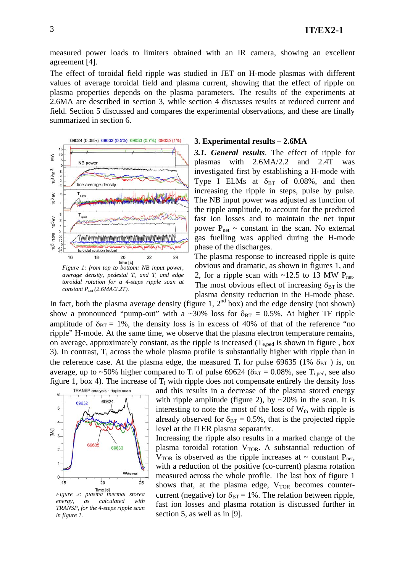measured power loads to limiters obtained with an IR camera, showing an excellent agreement [4].

The effect of toroidal field ripple was studied in JET on H-mode plasmas with different values of average toroidal field and plasma current, showing that the effect of ripple on plasma properties depends on the plasma parameters. The results of the experiments at 2.6MA are described in section 3, while section 4 discusses results at reduced current and field. Section 5 discussed and compares the experimental observations, and these are finally summarized in section 6.



*average density, pedestal Te and Ti and edge toroidal rotation for a 4-steps ripple scan at constant Pnet (2.6MA/2.2T).* 

#### **3. Experimental results – 2.6MA**

phase of the discharges. *3.1. General results*. The effect of ripple for plasmas with 2.6MA/2.2 and 2.4T was investigated first by establishing a H-mode with Type I ELMs at  $\delta_{BT}$  of 0.08%, and then increasing the ripple in steps, pulse by pulse. The NB input power was adjusted as function of the ripple amplitude, to account for the predicted fast ion losses and to maintain the net input power  $P_{net}$  ~ constant in the scan. No external gas fuelling was applied during the H-mode

The plasma response to increased ripple is quite obvious and dramatic, as shown in figures 1, and 2, for a ripple scan with  $\sim$ 12.5 to 13 MW P<sub>net</sub>. The most obvious effect of increasing  $\delta_{\text{BT}}$  is the plasma density reduction in the H-mode phase.

In fact, both the plasma average density (figure 1,  $2<sup>nd</sup>$  box) and the edge density (not shown) show a pronounced "pump-out" with a ~30% loss for  $\delta_{BT} = 0.5$ %. At higher TF ripple amplitude of  $\delta_{BT} = 1\%$ , the density loss is in excess of 40% of that of the reference "no ripple" H-mode. At the same time, we observe that the plasma electron temperature remains, on average, approximately constant, as the ripple is increased  $(T_{e,ped}$  is shown in figure, box 3). In contrast,  $T_i$  across the whole plasma profile is substantially higher with ripple than in the reference case. At the plasma edge, the measured  $T_i$  for pulse 69635 (1%  $\delta_{BT}$ ) is, on average, up to ~50% higher compared to T<sub>i</sub> of pulse 69624 ( $\delta_{\text{BT}} = 0.08\%$ , see T<sub>i,ped</sub>, see also figure 1, box 4). The increase of  $T_i$  with ripple does not compensate entirely the density loss



*Figure 2: plasma thermal stored energy, as calculated with TRANSP, for the 4-steps ripple scan in figure 1.*

and this results in a decrease of the plasma stored energy with ripple amplitude (figure 2), by  $\sim$  20% in the scan. It is interesting to note the most of the loss of  $W_{th}$  with ripple is already observed for  $\delta_{\text{BT}} = 0.5\%$ , that is the projected ripple level at the ITER plasma separatrix.

Increasing the ripple also results in a marked change of the plasma toroidal rotation  $V_{TOR}$ . A substantial reduction of  $V_{TOR}$  is observed as the ripple increases at  $\sim$  constant  $P_{net}$ , with a reduction of the positive (co-current) plasma rotation measured across the whole profile. The last box of figure 1 shows that, at the plasma edge,  $V_{TOR}$  becomes countercurrent (negative) for  $\delta_{BT} = 1\%$ . The relation between ripple, fast ion losses and plasma rotation is discussed further in section 5, as well as in [9].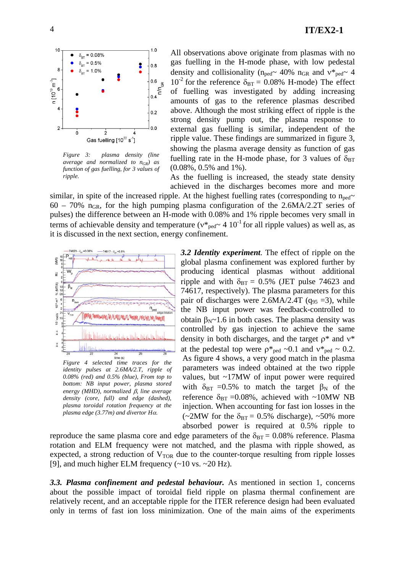

*Figure 3: plasma density (line average and normalized to nGR) as function of gas fuelling, for 3 values of ripple.* 

All observations above originate from plasmas with no gas fuelling in the H-mode phase, with low pedestal density and collisionality ( $n_{\text{ped}} \sim 40\%$   $n_{\text{GR}}$  and  $v_{\text{ped}} \sim 4$  $10^{-2}$  for the reference  $\delta_{\text{BT}} = 0.08\%$  H-mode) The effect of fuelling was investigated by adding increasing amounts of gas to the reference plasmas described above. Although the most striking effect of ripple is the strong density pump out, the plasma response to external gas fuelling is similar, independent of the ripple value. These findings are summarized in figure 3, showing the plasma average density as function of gas fuelling rate in the H-mode phase, for 3 values of  $\delta_{\text{BT}}$ (0.08%, 0.5 % and 1%).

As the fuelling is increased, the steady state density achieved in the discharges becomes more and more

similar, in spite of the increased ripple. At the highest fuelling rates (corresponding to  $n_{\text{ped}} \sim$  $60 - 70\%$  n<sub>GR</sub>, for the high pumping plasma configuration of the 2.6MA/2.2T series of pulses) the difference between an H-mode with 0.08% and 1% ripple becomes very small in terms of achievable density and temperature ( $v_{\text{ped}}^* \sim 4 \cdot 10^{-1}$  for all ripple values) as well as, as it is discussed in the next section, energy confinement.



*Figure 4 selected time traces for the identity pulses at 2.6MA/2.T, ripple of 0.08% (red) and 0.5% (blue), From top to bottom: NB input power, plasma stored energy (MHD), normalized* β*, line average density (core, full) and edge (dashed), plasma toroidal rotation frequency at the plasma edge (3.77m) and divertor H*α*.* 

*3.2 Identity experiment*. The effect of ripple on the global plasma confinement was explored further by producing identical plasmas without additional ripple and with  $\delta_{BT} = 0.5\%$  (JET pulse 74623 and 74617, respectively). The plasma parameters for this pair of discharges were 2.6MA/2.4T ( $q_{95}$  =3), while the NB input power was feedback-controlled to obtain  $β_N~1.6$  in both cases. The plasma density was controlled by gas injection to achieve the same density in both discharges, and the target  $\rho^*$  and  $v^*$ at the pedestal top were  $\rho_{\text{red}}^* \sim 0.1$  and  $v_{\text{red}}^* \sim 0.2$ . As figure 4 shows, a very good match in the plasma parameters was indeed obtained at the two ripple values, but ~17MW of input power were required with  $\delta_{BT} = 0.5\%$  to match the target  $\beta_N$  of the reference  $\delta_{BT} = 0.08\%$ , achieved with ~10MW NB injection. When accounting for fast ion losses in the (~2MW for the  $\delta_{\text{BT}}$  = 0.5% discharge), ~50% more absorbed power is required at 0.5% ripple to

reproduce the same plasma core and edge parameters of the  $\delta_{BT} = 0.08\%$  reference. Plasma rotation and ELM frequency were not matched, and the plasma with ripple showed, as expected, a strong reduction of  $V_{TOR}$  due to the counter-torque resulting from ripple losses [9], and much higher ELM frequency  $(\sim 10 \text{ vs. } \sim 20 \text{ Hz})$ .

*3.3. Plasma confinement and pedestal behaviour.* As mentioned in section 1, concerns about the possible impact of toroidal field ripple on plasma thermal confinement are relatively recent, and an acceptable ripple for the ITER reference design had been evaluated only in terms of fast ion loss minimization. One of the main aims of the experiments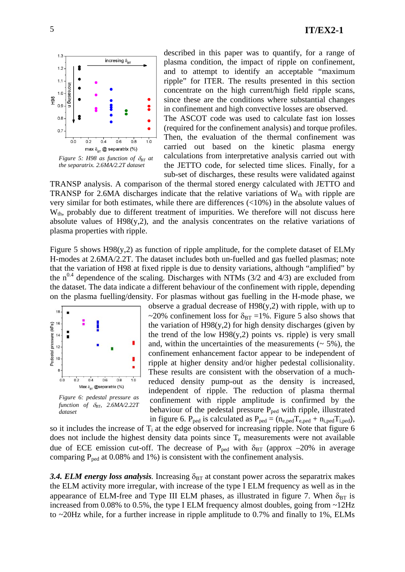

*Figure 5: H98 as function of*  $\delta_{BT}$  *at the se paratrix. 2.6MA/2.2T dataset* 

described in this paper was to quantify, for a range of plasma condition, the impact of ripple on confinement, and to attempt to identify an acceptable "maximum ripple" for ITER. The results presented in this section concentrate on the high current/high field ripple scans, since these are the conditions where substantial changes in confinement and high convective losses are observed.

The ASCOT code was used to calculate fast ion losses (required for the confinement analysis) and torque profiles. Then, the evaluation of the thermal confinement was carried out based on the kinetic plasma energy calculations from interpretative analysis carried out with the JETTO code, for selected time slices. Finally, for a sub-set of discharges, these results were validated against

W<sub>th</sub>, probably due to different treatment of impurities. We therefore will not discuss here absolute values of  $H98(y,2)$ , and the analysis concentrates on the relative variations of plasma properties with ripple. TRANSP analysis. A comparison of the thermal stored energy calculated with JETTO and TRANSP for 2.6MA discharges indicate that the relative variations of  $W_{th}$  with ripple are very similar for both estimates, while there are differences (<10%) in the absolute values of

that the variation of H98 at fixed ripple is due to density variations, although "amplified" by the  $n^{0.4}$  dependence of the scaling. Discharges with NTMs (3/2 and 4/3) are excluded from Figure 5 shows  $H98(y,2)$  as function of ripple amplitude, for the complete dataset of ELMy H-modes at 2.6MA/2.2T. The dataset includes both un-fuelled and gas fuelled plasmas; note the dataset. The data indicate a different behaviour of the confinement with ripple, depending on the plasma fuelling/density. For plasmas without gas fuelling in the H-mode phase, we



*dataset* 

observe a gradual decrease of  $H98(y,2)$  with ripple, with up to ~20% confinement loss for  $\delta_{BT} = 1\%$ . Figure 5 also shows that the variation of  $H98(y,2)$  for high density discharges (given by the trend of the low  $H98(y,2)$  points vs. ripple) is very small and, within the uncertainties of the measurements  $($   $\sim$  5 $)$ %), the confinement enhancement factor appear to be independent of ripple at higher density and/or higher pedestal collisionality. These results are consistent with the observation of a muchreduced density pump-out as the density is increased, independent of ripple. The reduction of plasma thermal confinement with ripple amplitude is confirmed by the behaviour of the pedestal pressure  $P_{ped}$  with ripple, illustrated in figure 6. P<sub>ped</sub> is calculated as  $P_{ped} = (n_{e,ped}T_{e,ped} + n_{i,ped}T_{i,ped})$ ,

so it includes the increase of  $T_i$  at the edge observed for increasing ripple. Note that figure  $6$ does not include the highest density data points since  $T_e$  measurements were not available due of ECE emission cut-off. The decrease of  $P_{\text{ped}}$  with  $\delta_{\text{BT}}$  (approx -20% in average comparing  $P_{\text{ped}}$  at 0.08% and 1%) is consistent with the confinement analysis.

appearance of ELM-free and Type III ELM phases, as illustrated in figure 7. When  $\delta_{BT}$  is increased from  $0.08\%$  to  $0.5\%$ , the type I ELM frequency almost doubles, going from  $\sim$ 12Hz 3.4. ELM energy loss analysis. Increasing  $\delta_{\text{BT}}$  at constant power across the separatrix makes the ELM activity more irregular, with increase of the type I ELM frequency as well as in the to ~20Hz while, for a further increase in ripple amplitude to 0.7% and finally to 1%, ELMs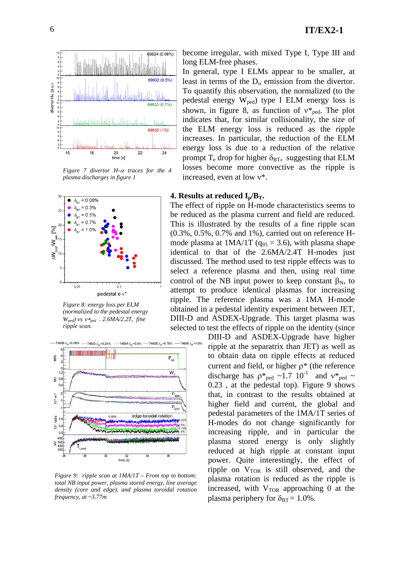

*Figure 7 divertor H-*α *traces for the 4 plasma discharges in figure 1* 



*Figure 8: energy loss per ELM (normalized to the pedestal energy Wped) vs* ν∗*ped . 2.6MA/2.2T, fine ripple scan.* 



*Figure 9: ripple scan at 1MA/1T – From top to bottom: total NB input power, plasma stored energy, line average density (core and edge), and plasma toroidal rotation frequency, at ~3.77m* 

become irregular, with mixed Type I, Type III and long ELM-free phases.

In general, type I ELMs appear to be smaller, at least in terms of the  $D_{\alpha}$  emission from the divertor. To quantify this observation, the normalized (to the pedestal energy  $W_{\text{ped}}$ ) type I ELM energy loss is shown, in figure 8, as function of  $v^*_{\text{ped}}$ . The plot indicates that, for similar collisionality, the size of the ELM energy loss is reduced as the ripple increases. In particular, the reduction of the ELM energy loss is due to a reduction of the relative prompt  $T_e$  drop for higher  $\delta_{BT}$ , suggesting that ELM losses become more convective as the ripple is increased, even at low ν\*.

### **4.** Results at reduced  $I_p/B_T$ .

The effect of ripple on H-mode characteristics seems to be reduced as the plasma current and field are reduced. This is illustrated by the results of a fine ripple scan (0.3%, 0.5%, 0.7% and 1%), carried out on reference Hmode plasma at  $1MA/1T$  (q<sub>95</sub> = 3.6), with plasma shape identical to that of the 2.6MA/2.4T H-modes just discussed. The method used to test ripple effects was to select a reference plasma and then, using real time control of the NB input power to keep constant  $\beta_N$ , to attempt to produce identical plasmas for increasing ripple. The reference plasma was a 1MA H-mode obtained in a pedestal identity experiment between JET, DIII-D and ASDEX-Upgrade. This target plasma was selected to test the effects of ripple on the identity (since

DIII-D and ASDEX-Upgrade have higher ripple at the separatrix than JET) as well as to obtain data on ripple effects at reduced current and field, or higher  $\rho^*$  (the reference discharge has  $\rho^*_{\text{ped}} \sim 1.7 \cdot 10^{-1}$  and  $v^*_{\text{ped}} \sim$ 0.23 , at the pedestal top). Figure 9 shows that, in contrast to the results obtained at higher field and current, the global and pedestal parameters of the 1MA/1T series of H-modes do not change significantly for increasing ripple, and in particular the plasma stored energy is only slightly reduced at high ripple at constant input power. Quite interestingly, the effect of ripple on  $V<sub>TOR</sub>$  is still observed, and the plasma rotation is reduced as the ripple is increased, with  $V_{TOR}$  approaching 0 at the plasma periphery for  $\delta_{\text{BT}} = 1.0\%$ .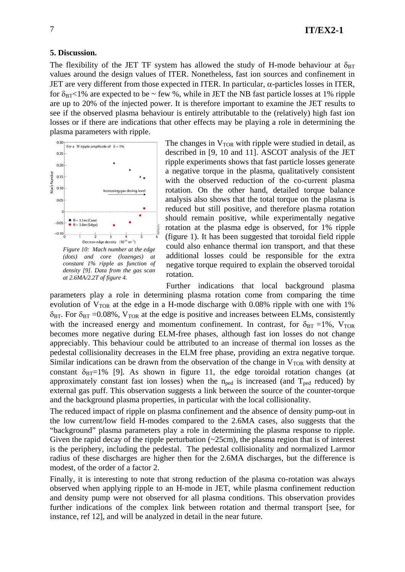### **5. Discussion.**

The flexibility of the JET TF system has allowed the study of H-mode behaviour at  $\delta_{\text{BT}}$ values around the design values of ITER. Nonetheless, fast ion sources and confinement in JET are very different from those expected in ITER. In particular,  $α$ -particles losses in ITER, for  $\delta_{BT}$ <1% are expected to be ~ few %, while in JET the NB fast particle losses at 1% ripple are up to 20% of the injected power. It is therefore important to examine the JET results to see if the observed plasma behaviour is entirely attributable to the (relatively) high fast ion losses or if there are indications that other effects may be playing a role in determining the plasma parameters with ripple.



*Figure 10: Mach number at the edge (dots) and core (lozenges) at constant 1% ripple as function of density [9]. Data from the gas scan at 2.6MA/2.2T of figure 4.* 

The changes in  $V_{TOR}$  with ripple were studied in detail, as described in [9, 10 and 11]. ASCOT analysis of the JET ripple experiments shows that fast particle losses generate a negative torque in the plasma, qualitatively consistent with the observed reduction of the co-current plasma rotation. On the other hand, detailed torque balance analysis also shows that the total torque on the plasma is reduced but still positive, and therefore plasma rotation should remain positive, while experimentally negative rotation at the plasma edge is observed, for 1% ripple (figure 1). It has been suggested that toroidal field ripple could also enhance thermal ion transport, and that these additional losses could be responsible for the extra negative torque required to explain the observed toroidal rotation.

parameters play a role in determining plasma rotation come from comparing the time evolution of  $V_{TOR}$  at the edge in a H-mode discharge with 0.08% ripple with one with 1%  $\delta_{\text{BT}}$ . For  $\delta_{\text{BT}} = 0.08\%$ ,  $V_{\text{TOR}}$  at the edge is positive and increases between ELMs, consistently with the increased energy and momentum confinement. In contrast, for  $\delta_{BT} = 1\%$ ,  $V_{TOR}$ Further indications that local background plasma becomes more negative during ELM-free phases, although fast ion losses do not change appreciably. This behaviour could be attributed to an increase of thermal ion losses as the pedestal collisionality decreases in the ELM free phase, providing an extra negative torque. Similar indications can be drawn from the observation of the change in  $V_{TOR}$  with density at constant  $\delta_{BT}$ =1% [9]. As shown in figure 11, the edge toroidal rotation changes (at approximately constant fast ion losses) when the  $n_{ped}$  is increased (and  $T_{ped}$  reduced) by external gas puff. This observation suggests a link between the source of the counter-torque and the background plasma properties, in particular with the local collisionality.

The reduced impact of ripple on plasma confinement and the absence of density pump-out in the low current/low field H-modes compared to the 2.6MA cases, also suggests that the "background" plasma parameters play a role in determining the plasma response to ripple. Given the rapid decay of the ripple perturbation  $(\sim 25 \text{cm})$ , the plasma region that is of interest is the periphery, including the pedestal. The pedestal collisionality and normalized Larmor radius of these discharges are higher then for the 2.6MA discharges, but the difference is modest, of the order of a factor 2.

instance, ref 12], and will be analyzed in detail in the near future. Finally, it is interesting to note that strong reduction of the plasma co-rotation was always observed when applying ripple to an H-mode in JET, while plasma confinement reduction and density pump were not observed for all plasma conditions. This observation provides further indications of the complex link between rotation and thermal transport [see, for